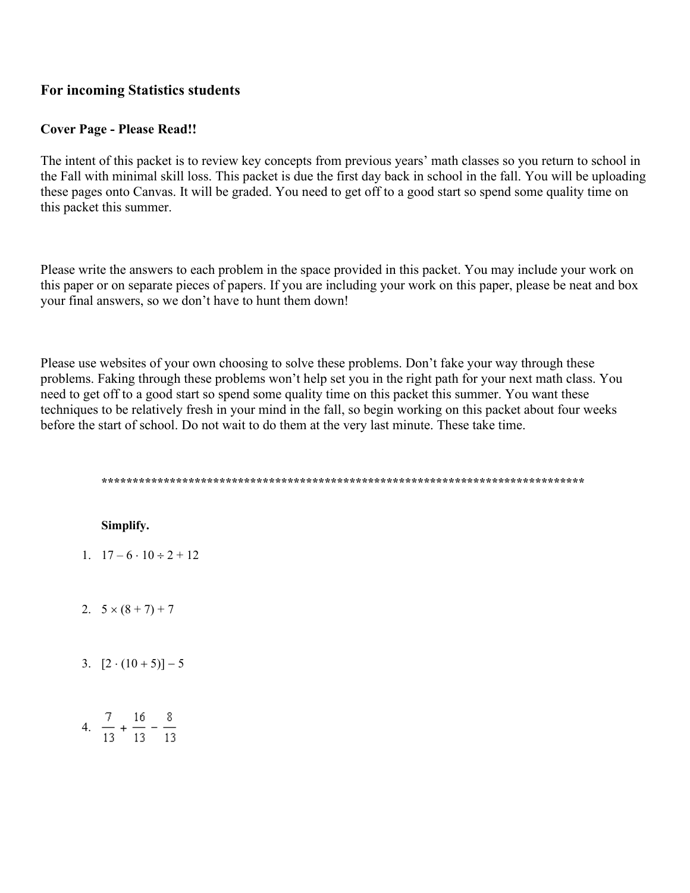# **For incoming Statistics students**

# **Cover Page - Please Read!!**

The intent of this packet is to review key concepts from previous years' math classes so you return to school in the Fall with minimal skill loss. This packet is due the first day back in school in the fall. You will be uploading these pages onto Canvas. It will be graded. You need to get off to a good start so spend some quality time on this packet this summer.

Please write the answers to each problem in the space provided in this packet. You may include your work on this paper or on separate pieces of papers. If you are including your work on this paper, please be neat and box your final answers, so we don't have to hunt them down!

Please use websites of your own choosing to solve these problems. Don't fake your way through these problems. Faking through these problems won't help set you in the right path for your next math class. You need to get off to a good start so spend some quality time on this packet this summer. You want these techniques to be relatively fresh in your mind in the fall, so begin working on this packet about four weeks before the start of school. Do not wait to do them at the very last minute. These take time.

# Simplify.

- 1.  $17-6 \cdot 10 \div 2 + 12$
- 2.  $5 \times (8 + 7) + 7$
- 3.  $[2 \cdot (10 + 5)] 5$
- 4.  $\frac{7}{13} + \frac{16}{13} \frac{8}{13}$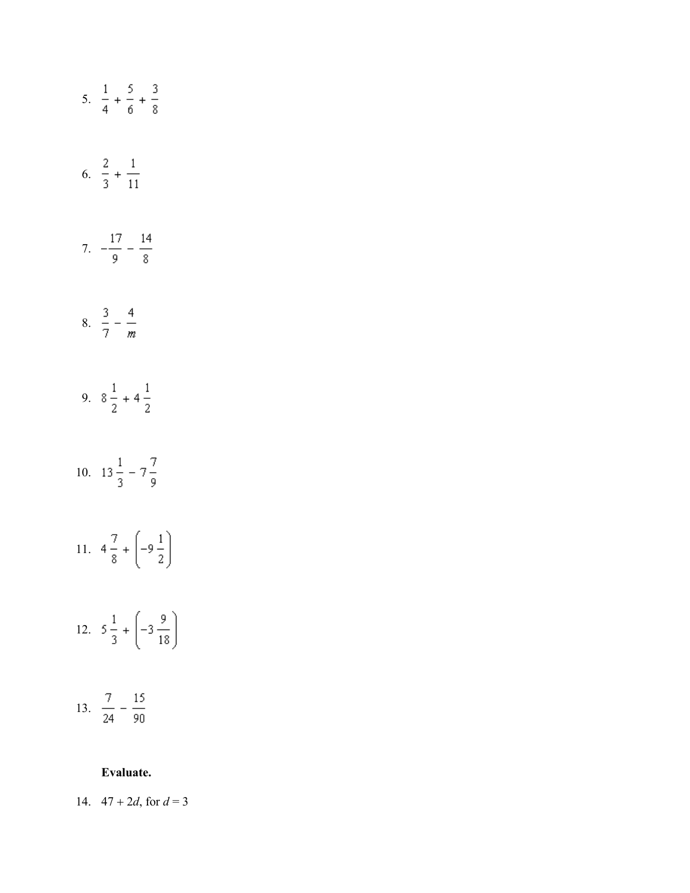

### Evaluate.

14.  $47 + 2d$ , for  $d = 3$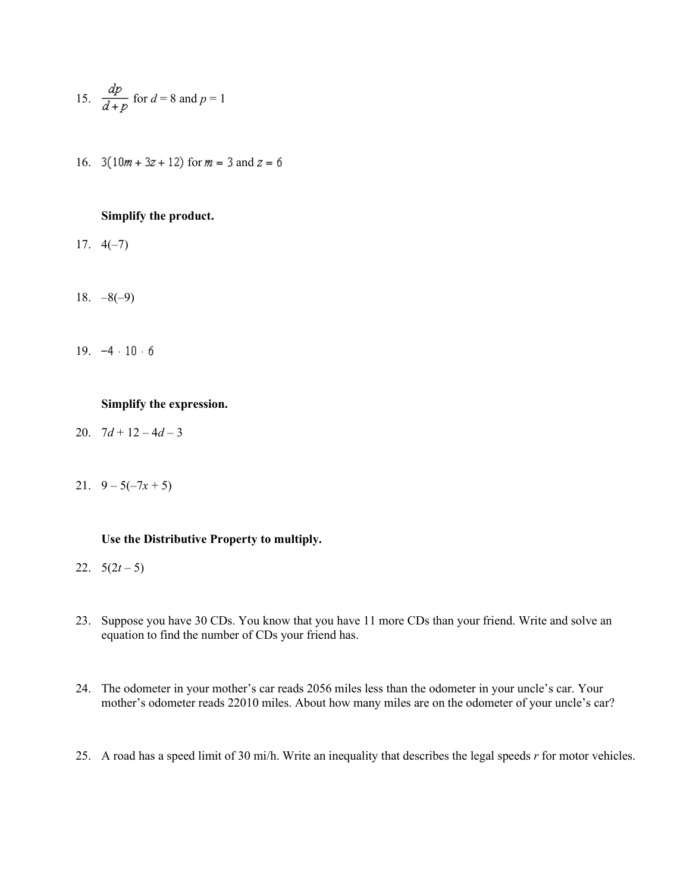15. 
$$
\frac{dp}{d+p}
$$
 for  $d = 8$  and  $p = 1$ 

16.  $3(10m + 3z + 12)$  for  $m = 3$  and  $z = 6$ 

# **Simplify the product.**

- 17.  $4(-7)$
- 18.  $-8(-9)$
- 19.  $-4 \cdot 10 \cdot 6$

#### **Simplify the expression.**

- 20.  $7d+12-4d-3$
- 21.  $9 5(-7x + 5)$

## **Use the Distributive Property to multiply.**

- 22.  $5(2t-5)$
- 23. Suppose you have 30 CDs. You know that you have 11 more CDs than your friend. Write and solve an equation to find the number of CDs your friend has.
- 24. The odometer in your mother's car reads 2056 miles less than the odometer in your uncle's car. Your mother's odometer reads 22010 miles. About how many miles are on the odometer of your uncle's car?
- 25. A road has a speed limit of 30 mi/h. Write an inequality that describes the legal speeds *r* for motor vehicles.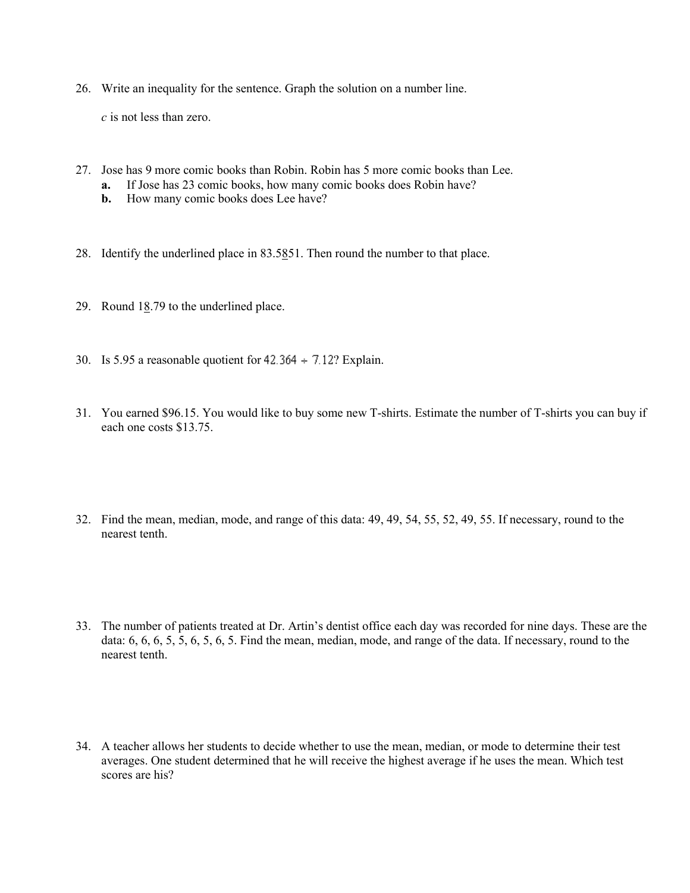26. Write an inequality for the sentence. Graph the solution on a number line.

*c* is not less than zero.

- 27. Jose has 9 more comic books than Robin. Robin has 5 more comic books than Lee.
	- **a.** If Jose has 23 comic books, how many comic books does Robin have?
	- **b.** How many comic books does Lee have?
- 28. Identify the underlined place in 83.5851. Then round the number to that place.
- 29. Round 18.79 to the underlined place.
- 30. Is 5.95 a reasonable quotient for  $42.364 \div 7.12$ ? Explain.
- 31. You earned \$96.15. You would like to buy some new T-shirts. Estimate the number of T-shirts you can buy if each one costs \$13.75.
- 32. Find the mean, median, mode, and range of this data: 49, 49, 54, 55, 52, 49, 55. If necessary, round to the nearest tenth.
- 33. The number of patients treated at Dr. Artin's dentist office each day was recorded for nine days. These are the data: 6, 6, 6, 5, 5, 6, 5, 6, 5. Find the mean, median, mode, and range of the data. If necessary, round to the nearest tenth.
- 34. A teacher allows her students to decide whether to use the mean, median, or mode to determine their test averages. One student determined that he will receive the highest average if he uses the mean. Which test scores are his?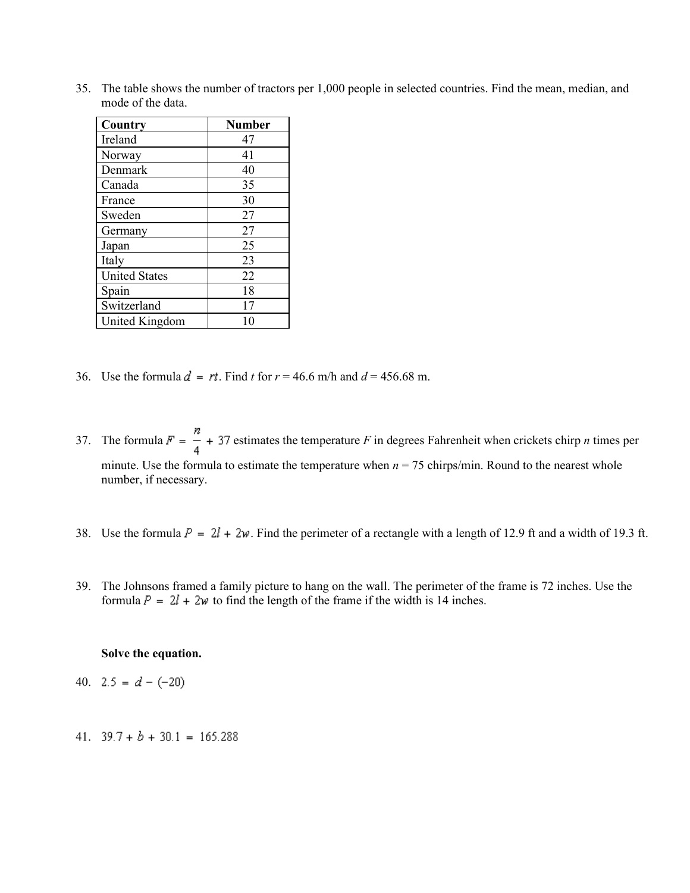35. The table shows the number of tractors per 1,000 people in selected countries. Find the mean, median, and mode of the data.

| Country              | <b>Number</b> |
|----------------------|---------------|
| Ireland              | 47            |
| Norway               | 41            |
| Denmark              | 40            |
| Canada               | 35            |
| France               | 30            |
| Sweden               | 27            |
| Germany              | 27            |
| Japan                | 25            |
| Italy                | 23            |
| <b>United States</b> | 22            |
| Spain                | 18            |
| Switzerland          | 17            |
| United Kingdom       |               |

- 36. Use the formula  $d = rt$ . Find *t* for  $r = 46.6$  m/h and  $d = 456.68$  m.
- 37. The formula  $F = \frac{n}{4} + 37$  estimates the temperature *F* in degrees Fahrenheit when crickets chirp *n* times per minute. Use the formula to estimate the temperature when  $n = 75$  chirps/min. Round to the nearest whole number, if necessary.
- 38. Use the formula  $P = 2l + 2w$ . Find the perimeter of a rectangle with a length of 12.9 ft and a width of 19.3 ft.
- 39. The Johnsons framed a family picture to hang on the wall. The perimeter of the frame is 72 inches. Use the formula  $P = 2l + 2w$  to find the length of the frame if the width is 14 inches.

#### **Solve the equation.**

- 40.  $2.5 = d (-20)$
- 41.  $39.7 + b + 30.1 = 165.288$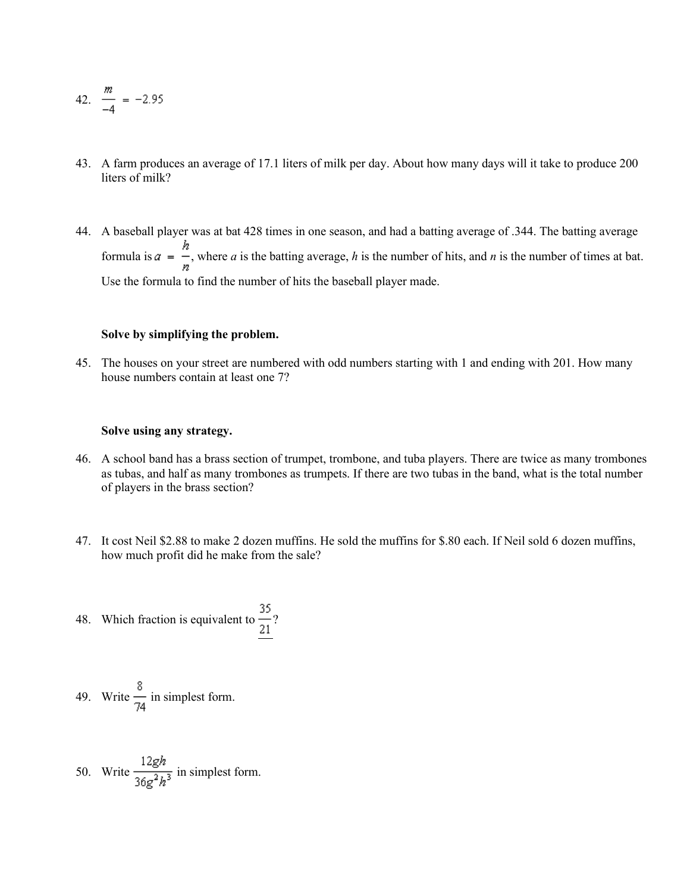42. 
$$
\frac{m}{-4} = -2.95
$$

- 43. A farm produces an average of 17.1 liters of milk per day. About how many days will it take to produce 200 liters of milk?
- 44. A baseball player was at bat 428 times in one season, and had a batting average of .344. The batting average formula is  $a = \frac{h}{n}$ , where *a* is the batting average, *h* is the number of hits, and *n* is the number of times at bat. Use the formula to find the number of hits the baseball player made.

## **Solve by simplifying the problem.**

 45. The houses on your street are numbered with odd numbers starting with 1 and ending with 201. How many house numbers contain at least one 7?

#### **Solve using any strategy.**

- 46. A school band has a brass section of trumpet, trombone, and tuba players. There are twice as many trombones as tubas, and half as many trombones as trumpets. If there are two tubas in the band, what is the total number of players in the brass section?
- 47. It cost Neil \$2.88 to make 2 dozen muffins. He sold the muffins for \$.80 each. If Neil sold 6 dozen muffins, how much profit did he make from the sale?
- 48. Which fraction is equivalent to  $\frac{35}{21}$ ?

49. Write 
$$
\frac{8}{74}
$$
 in simplest form.

50. Write 
$$
\frac{12gh}{36g^2h^3}
$$
 in simplest form.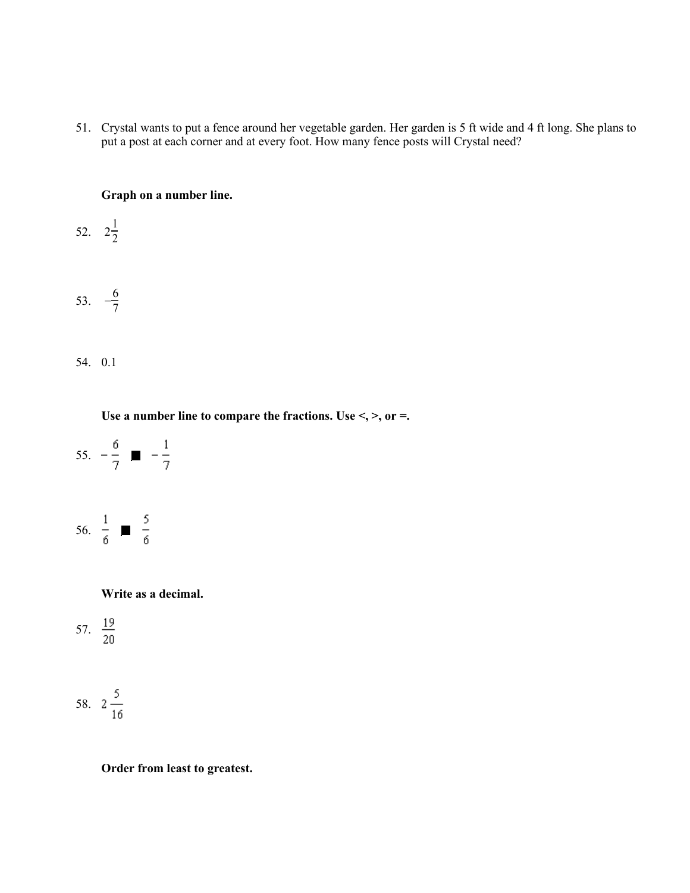51. Crystal wants to put a fence around her vegetable garden. Her garden is 5 ft wide and 4 ft long. She plans to put a post at each corner and at every foot. How many fence posts will Crystal need?

## **Graph on a number line.**

- 52.  $2\frac{1}{2}$
- 53.  $-\frac{6}{7}$ 
	- 54. 0.1

Use a number line to compare the fractions. Use <, >, or =.



**Write as a decimal.**



$$
58. \quad 2\frac{5}{16}
$$

**Order from least to greatest.**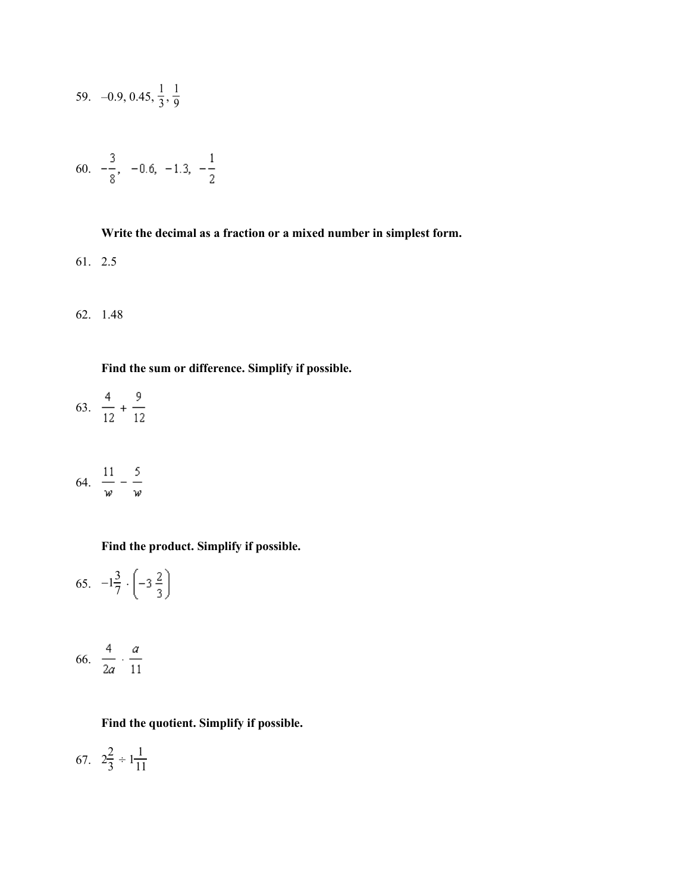59. 
$$
-0.9, 0.45, \frac{1}{3}, \frac{1}{9}
$$

$$
60. \quad -\frac{3}{8}, \quad -0.6, \quad -1.3, \quad -\frac{1}{2}
$$

## **Write the decimal as a fraction or a mixed number in simplest form.**

61. 2.5

62. 1.48

**Find the sum or difference. Simplify if possible.**

63.  $\frac{4}{12} + \frac{9}{12}$ 

$$
64. \quad \frac{11}{w} - \frac{5}{w}
$$

**Find the product. Simplify if possible.**

65.  $-1\frac{3}{7}$ .

$$
66. \ \ \frac{4}{2a} \cdot \frac{a}{11}
$$

# **Find the quotient. Simplify if possible.**

67.  $2\frac{2}{3} \div 1\frac{1}{11}$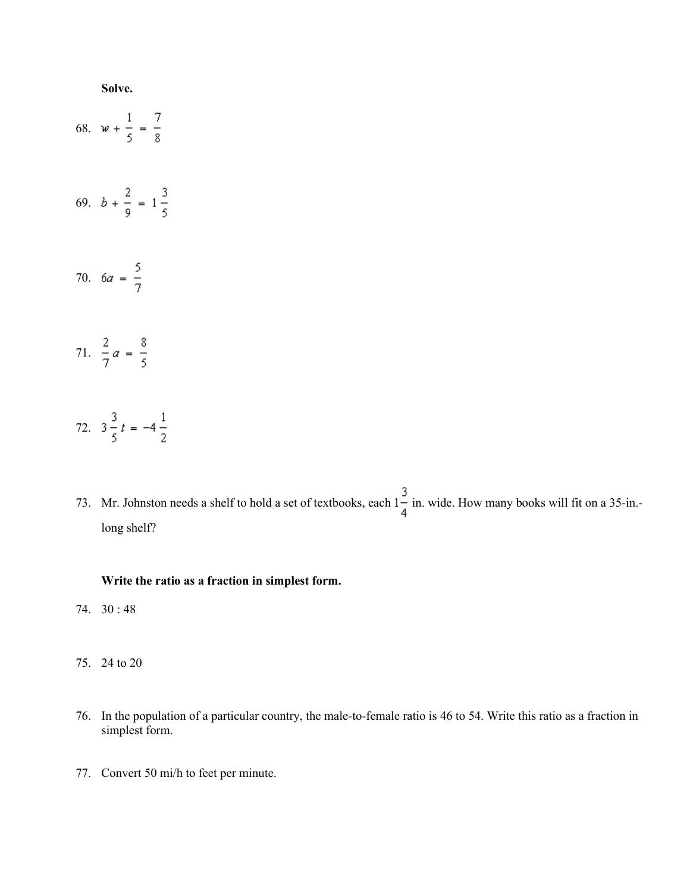

73. Mr. Johnston needs a shelf to hold a set of textbooks, each  $1-\frac{3}{4}$  in. wide. How many books will fit on a 35-in.long shelf?

#### **Write the ratio as a fraction in simplest form.**

- 74. 30 : 48
- 75. 24 to 20
- 76. In the population of a particular country, the male-to-female ratio is 46 to 54. Write this ratio as a fraction in simplest form.
- 77. Convert 50 mi/h to feet per minute.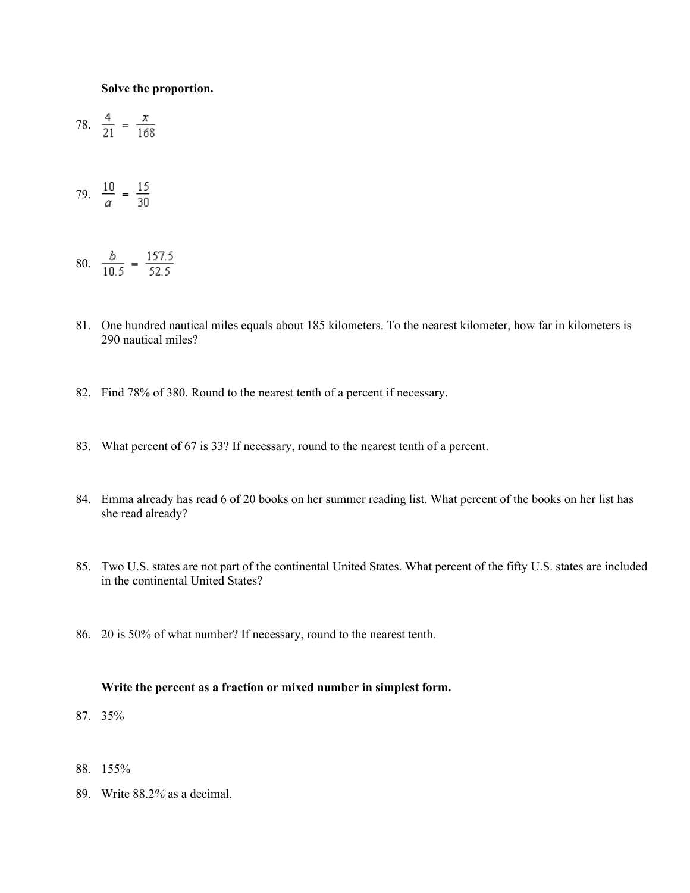#### **Solve the proportion.**

78. 
$$
\frac{4}{21} = \frac{x}{168}
$$

79.  $\frac{10}{a} = \frac{15}{30}$ 

$$
80. \quad \frac{b}{10.5} = \frac{157.5}{52.5}
$$

- 81. One hundred nautical miles equals about 185 kilometers. To the nearest kilometer, how far in kilometers is 290 nautical miles?
- 82. Find 78% of 380. Round to the nearest tenth of a percent if necessary.
- 83. What percent of 67 is 33? If necessary, round to the nearest tenth of a percent.
- 84. Emma already has read 6 of 20 books on her summer reading list. What percent of the books on her list has she read already?
- 85. Two U.S. states are not part of the continental United States. What percent of the fifty U.S. states are included in the continental United States?
- 86. 20 is 50% of what number? If necessary, round to the nearest tenth.

## **Write the percent as a fraction or mixed number in simplest form.**

- 87. 35%
- 88. 155%
- 89. Write 88.2*%* as a decimal.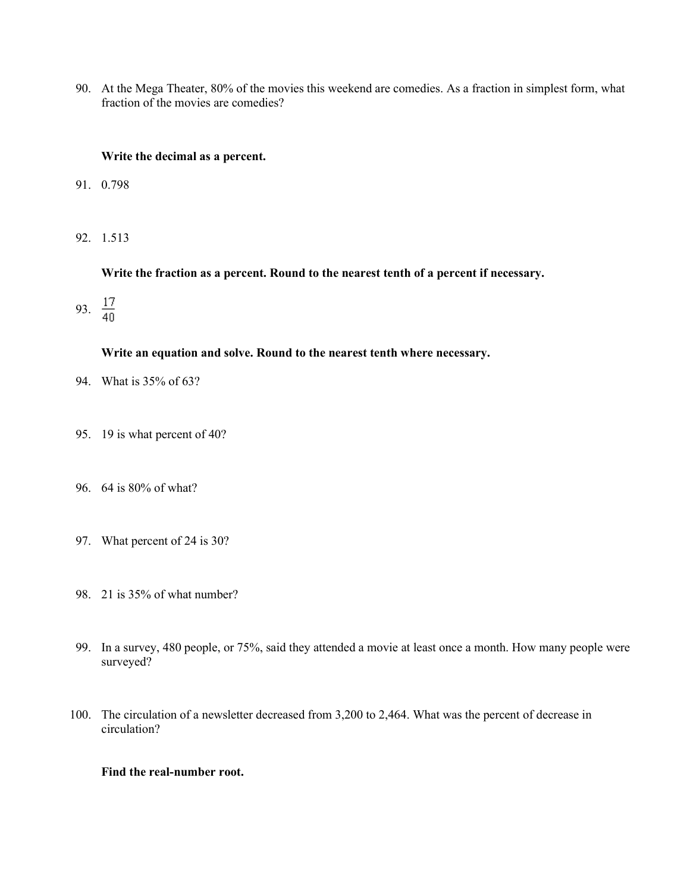90. At the Mega Theater, 80% of the movies this weekend are comedies. As a fraction in simplest form, what fraction of the movies are comedies?

## **Write the decimal as a percent.**

- 91. 0.798
- 92. 1.513

**Write the fraction as a percent. Round to the nearest tenth of a percent if necessary.**

93.  $\frac{17}{40}$ 

## **Write an equation and solve. Round to the nearest tenth where necessary.**

- 94. What is 35% of 63?
- 95. 19 is what percent of 40?
- 96. 64 is 80% of what?
- 97. What percent of 24 is 30?
- 98. 21 is 35% of what number?
- 99. In a survey, 480 people, or 75%, said they attended a movie at least once a month. How many people were surveyed?
- 100. The circulation of a newsletter decreased from 3,200 to 2,464. What was the percent of decrease in circulation?

## **Find the real-number root.**